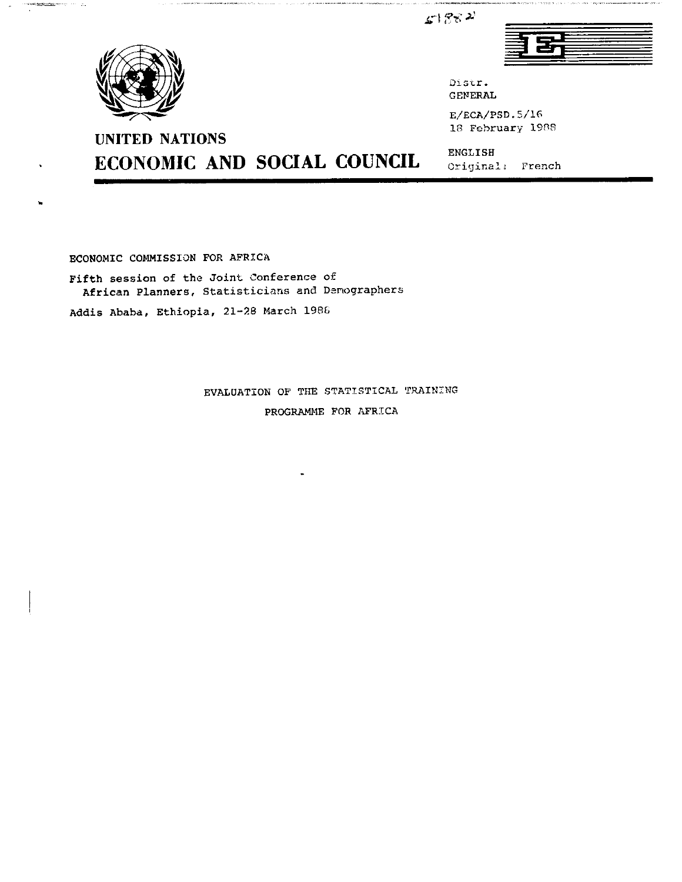$51882$ 



Oistr. GENERAL

E/ECA/PSD.5/16 18 February 1988

ENGLISH Original; French

للمحاضرت <u> Andrés d'Aris</u>on

ECONOMIC AND SOCIAL COUNCIL

ECONOMIC COMMISSION FOR AFRICA

UNITED NATIONS

Fifth session of the Joint Conference of African Planners, Statisticians and Demographers

Addis Ababa, Ethiopia, 21-28 March 198&

EVALUATION OF THE STATISTICAL TRAINING PROGRAMME FOR AFRICA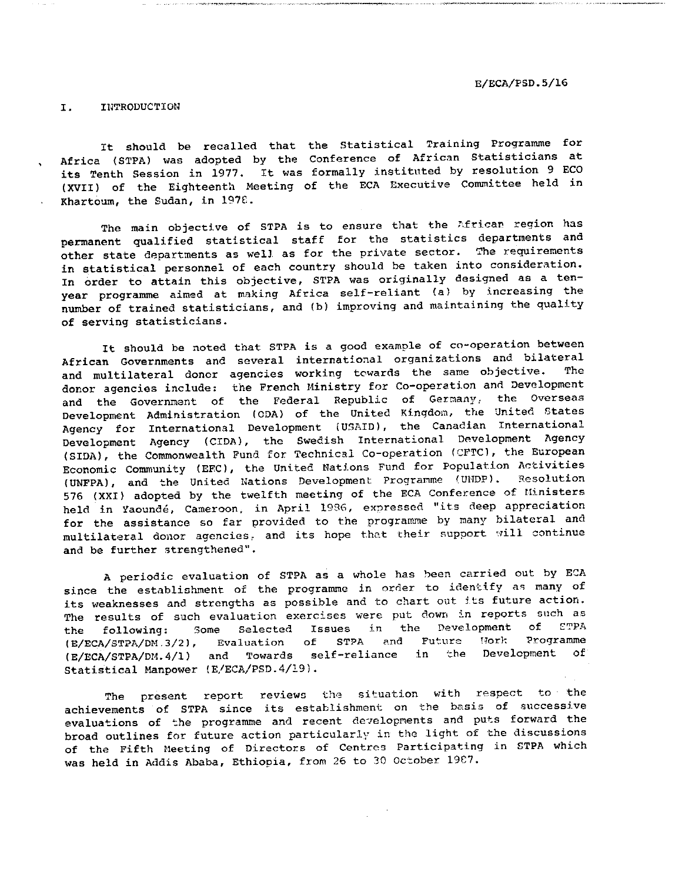I. INTRODUCTION

It should be recalled that the Statistical Training Programme for Africa (STPA) was adopted by the Conference of African Statisticians at its Tenth Session in 1977. It was formally instituted by resolution 9 ECO (XVII) of the Eighteenth Meeting of the ECA Executive Committee held in Khartoum, the Sudan, in 1976.

The main objective of STPA is to ensure that the African region has permanent qualified statistical staff for the statistics departments and other state departments as well as for the private sector. The requirements in statistical personnel of each country should be taken into consideration. In order to attain this objective, STPA was originally designed as a tenyear programme aimed at making Africa self-reliant (a) by increasing the number of trained statisticians, and (b) improving and maintaining the quality of serving statisticians.

It should be noted that STPA is good example of co-operation between African Governments and several international organizations and bilateral and multilateral donor agencies working towards the same objective. The donor agencies include: the French Ministry for Co-operation and Development and the Government of the Federal Republic of Germany, the Overseas Development Administration (CDA) of the United Kingdom, the United States Agency for International Development (USAID), the Canadian International Development Agency (CIDA), the Swedish International Development Agency (SIDA), the Commonwealth Fund for Technical Co-operation (CFTC), the European Economic Community (EEC), the United Nations Fund for Population Activities (UNFPA), and the United Nations Development Progranme (UMDP). Resolution 576 (XXI) adopted by the twelfth meeting of the ECA Conference of Ministers held in Yaounde, Cameroon, in April 1936, expressed "its deep appreciation for the assistance so far provided to the programme by many bilateral and multilateral donor agencies, and its hope that their support will continue and be further strengthened".

periodic evaluation of STPA as whole has been carried out by ECA since the establishment of the programme in order to identify as many of its weaknesses and strengths as possible and to chart out its future action. The results of such evaluation exercises were put down in reports such as the following: Some Selected Issues in the Development of ETPA (E/ECA/3TPA/DM.3/2), Evaluation of STPA and Future Nork Programme (E/ECA/STPA/DM.4/1) and Towards self-reliance in the Development of Statistical Manpower (E/ECA/PSD.4/19).

The present report reviews the situation with respect to the achievements of STPA since its establishment on the basis of successive evaluations of the programme and recent developments and puts forward the broad outlines for future action particularly in the light of the discussions of the Fifth Meeting of Directors of Centres Participating in STPA which was held in Addis Ababa, Ethiopia, from 26 to 30 October 19C7.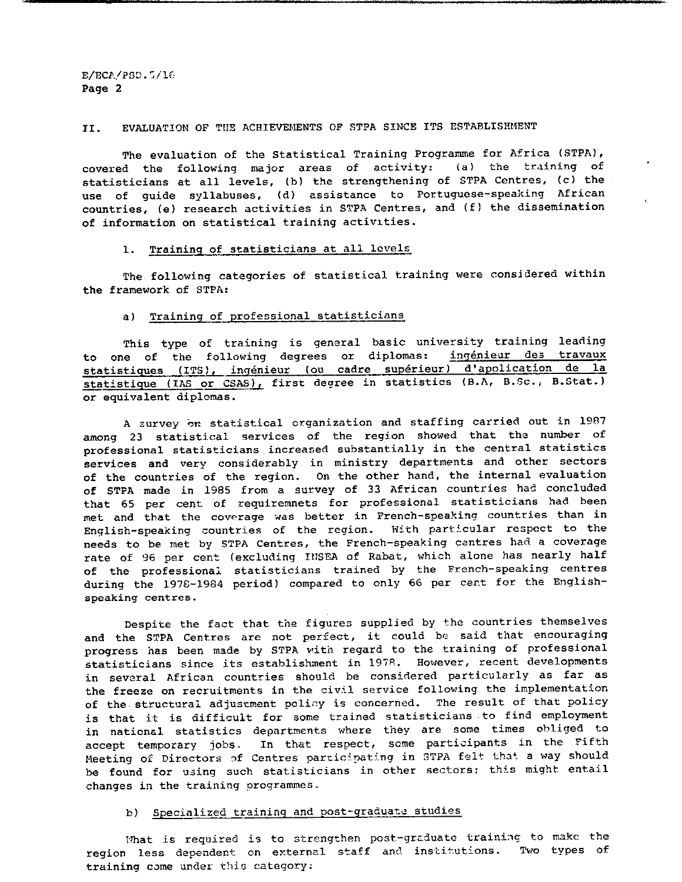### II. EVALUATION OF THE ACHIEVEMENTS OP STPA SINCE ITS ESTABLISHMENT

The evaluation of the Statistical Training Programme for Africa (STPA), covered the following major areas of activitys (a) the training of statisticians at all levels, (b) the strengthening of STPA Centres, (c) the use of guide syllabuses, (d) assistance to Portuguese-speaking African countries, (e) research activities in STPA Centres, and (f) the dissemination of information on statistical training activities.

# 1. Training of statisticians at all levels

The following categories of statistical training were considered within the framework of STPA:

#### a) Training of professional statisticians

This type of training is general basic university training leading to one of the following degrees or diplomas: ingénieur des travaux statistiques (ITS), ingénieur (ou cadre supérieur) d'application de la statistique (IAS or CSAS), first degree in statistics (B.A, B.Sc., B.Stat.) or equivalent diplomas.

A survey on statistical organization and staffing carried out in 1987 among 23 statistical services of the region showed that the number of professional statisticians increased substantially in the central statistics services and very considerably in ministry departments and other sectors of the countries of the region. On the other hand, the internal evaluation of STPA made in 1985 from a survey of 33 African countries had concluded that 65 per cent of requiremnets for professional statisticians had been met and that the coverage was better in French-speaking countries than in English-speaking countries of the region. With particular respect to the needs to be met by STPA Centres, the French-speaking centres had coverage rate of 96 per cent (excluding IHSEA of Rabat, which alone has nearly half of the professional statisticians trained by the French-speaking centres during the 1978-1984 period) compared to only 66 per cert for the Englishspeaking centres.

Despite the fact that the figures supplied by the countries themselves and the STPA Centres are not perfect, it could be said that encouraging progress has been made by STPA with regard to the training of professional statisticians since its establishment in 197R. However, recent developments in several African countries should be considered particularly as far as the freeze on recruitments in the civil service following the implementation of the structural adjustment policy is concerned. The result of that policy is that it is difficult for some trained statisticians to find employment in national statistics departments where they are some times obliged to accept temporary jobs. In that respect, some participants in the Fifth Meeting of Directors of Centres participating in STPA felt that a way should be found for using such statisticians in other sectors; this might entail changes in the training programmes.

## b) Specialized training and post-graduate studies

What is required is to strengthen post-grcduate training to make the region less dependent on external staff and institutions. Two types of training come under this category;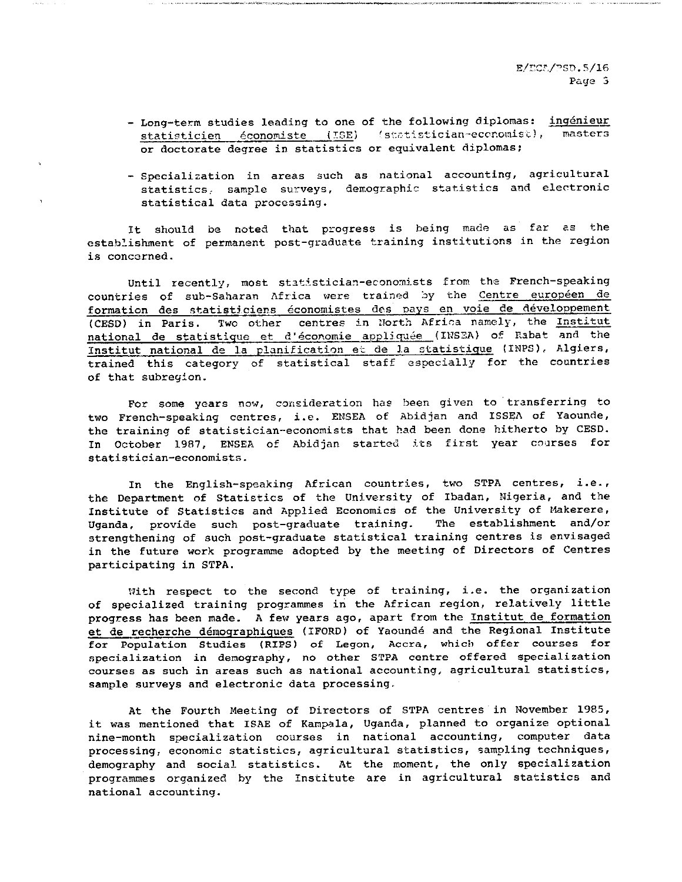- Long-term studies leading to one of the following diplomas: ingénieur statisticien économiste (ISE) (statistician-economist), masters or doctorate degree in statistics or equivalent diplomas;
- Specialization in areas such as national accounting, agricultural statistics, sample surveys, demographic statistics and electronic statistical data processing.

It should be noted that progress is being made as far as the establishment of permanent post-graduate training institutions in the region is concerned.

Until recently, most statistician-economists from the French-speaking countries of sub-Saharan Africa were trained by the Centre européen de formation des statisticiens économistes des pays en voie de développement (CESD) in Paris. Two other centres in North Africa namely, the Institut national de statistique et d'économie appliquée (INSEA) of Rabat and the Institut national de la planification et de la statistique (IMPS), Algiers, trained this category of statistical staff especially for the countries of that subregion.

For some years now, consideration has been given to transferring to two French-speaking centres, i.e. ENSEA of Abid jan and ISSEA of Yaounde, the training of statistician-economists that had been done hitherto by CESD. In October 1987, ENSEA of Abidjan started its first year courses for statistician-economists.

In the English-speaking African countries, two STPA centres, i.e., the Department of Statistics of the University of Ibadan, Nigeria, and the Institute of Statistics and Applied Economics of the University of Makerere, Uganda, provide such post-graduate training. The establishment and/or strengthening of such post-graduate statistical training centres is envisaged in the future work programme adopted by the meeting of Directors of Centres participating in STPA.

With respect to the second type of training, i.e. the organization of specialized training programmes in the African region, relatively little progress has been made. A few years ago, apart from the Institut de formation et de recherche démographiques (IFORD) of Yaoundé and the Regional Institute for Population Studies (RIPS) of Legon, Accra, which offer courses for specialization in demography, no other STPA centre offered specialization courses as such in areas such as national accounting, agricultural statistics, sample surveys and electronic data processing.

At the Fourth Meeting of Directors of STPA centres in November 1985, it was mentioned that ISAE of Kampala, Uganda, planned to organize optional nine-month specialization courses in national accounting, computer data processing, economic statistics, agricultural statistics, sampling techniques, demography and social statistics. At the moment, the only specialization programmes organized by the Institute are in agricultural statistics and national accounting.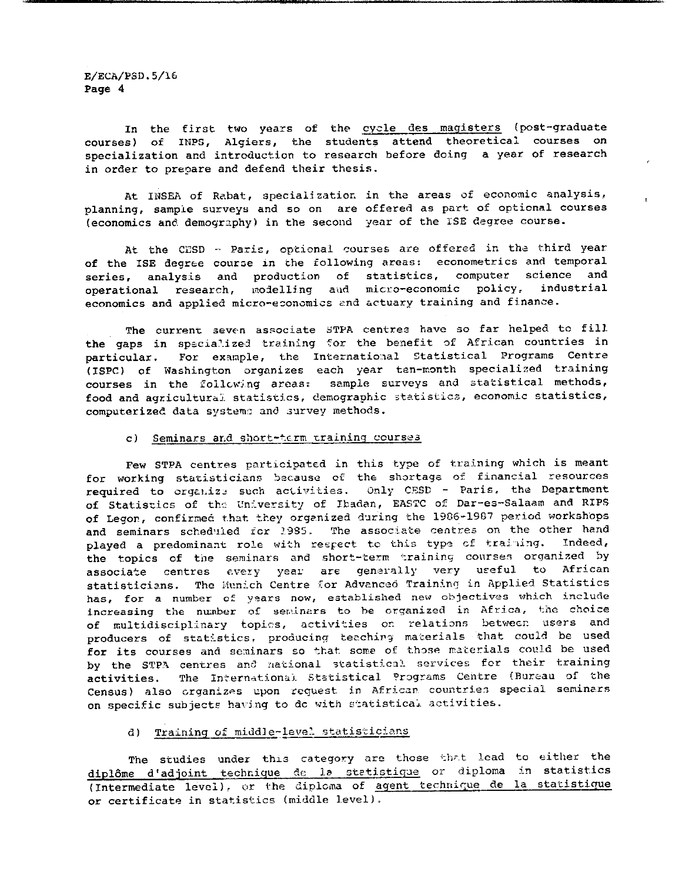In the first two years of the cycle des magisters (post-graduate courses) of INPS, Algiers, the students attend theoretical courses on specialization and introduction to research before doing a year of research in order to prepare and defend their thesis.

At INSEA of Rabat, specialisation in the areas of economic analysis, planning, sample surveys and so on are offered as part of optional courses {economics and. demography) in the second year of the ISE degree course.

At the CESD - Paris, optional courses are offered in the third year of the ISE degree course in the following areas: econometrics and temporal series, analysis and production of statistics, computer science and operational research, modelling aud micro-economic policy, industrial economics and applied micro-economics end actuary training and finance.

The current seven associate STPA centres have so far helped to fill the gaps in specialized training for the benefit of African countries in particular. For example, the International Statistical Programs Centre (ISPC) of Washington organizes each year ten-month specialised training courses in the following areas: sample surveys and statistical methods, food and agricultural statistics, demographic statistics, economic statistics, computerized data systems and survey methods.

#### c) Seminars and short-term training courses

Few STPA centres participated in this type of training which is meant for working statisticians bacausa of the shortage of financial resources required to crganize such activities. Only CESD - Paris, the Department of Statistics of the- University of Ibadan, EASTC of. Dar-es-Salaam and RIPS of Legon, confirmed that they organized during the 1986-1987 period workshops and seminars scheduled for 1985. The associate centres on the other hand played a predominant role with respect to this type of training. Indeed, the topics of the seminars and short-term training courses organized by associate centres every year are generally very useful to African statisticians. The Munich Centre for Advanced Training in Applied Statistics has, for a number of years now, established new objectives which include increasing the number of seminars to be organized in Africa, the choice of multidisciplinary topics, activities on relations between users and producers of statistics, producing teaching materials that could be used for its courses and seminars so that some of those materials could be used by the STPA centres and national statistical services for their training activities. The International Statistical Programs Centre (Bureau of the Census) also organizes upon request in African countries special seminars on specific subjects having to dc with statistical activities.

## d) Training of middle-level statisticians

The studies under this category are those that lead to either the diplôme d'adjoint technique de la statistique or diploma in statistics {Intermediate levol), or the diploma of agent technique de la statistique or certificate in statistics (middle level).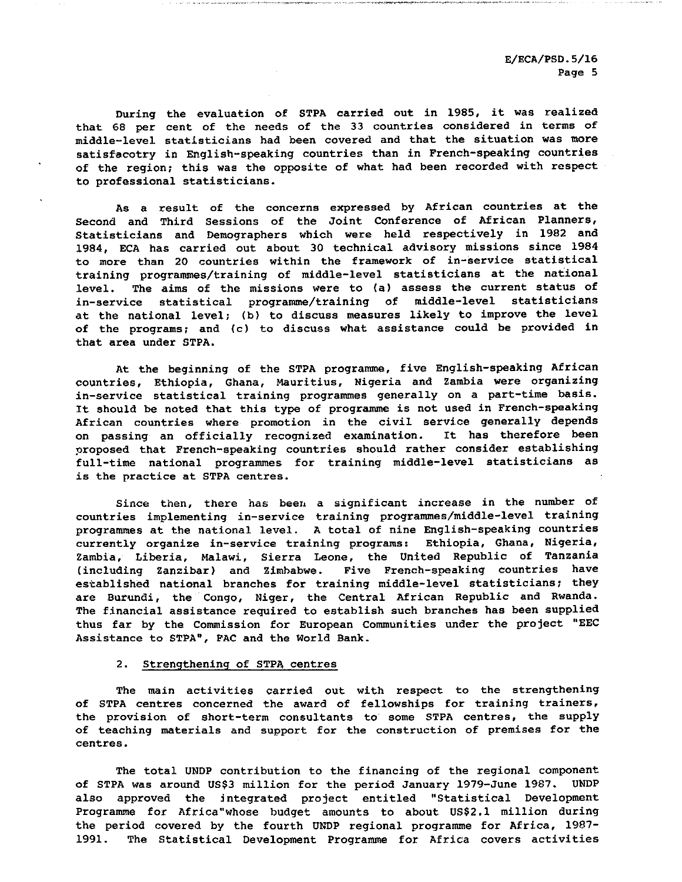During the evaluation of STPA carried out in 1985, it was realized that 68 per cent of the needs of the 33 countries considered in terms of middle-level statisticians had been covered and that the situation was more satisfacotry in English-speaking countries than in French-speaking countries of the region; this was the opposite of what had been recorded with respect to professional statisticians.

As a result of the concerns expressed by African countries at the Second and Third Sessions of the Joint Conference of African Planners, Statisticians and Demographers which were held respectively in 1982 and 1984, ECA has carried out about 30 technical advisory missions since 1984 to more than 20 countries within the framework of in-service statistical training programmes/training of middle-level statisticians at the national level. The aims of the missions were to (a) assess the current status of in-service statistical programme/training of middle-level statisticians at the national level; (b) to discuss measures likely to improve the level of the programs; and (c) to discuss what assistance could be provided in that area under STPA.

At the beginning of the STPA programme, five English-speaking African countries, Ethiopia, Ghana, Mauritius, Nigeria and Zambia were organizing in-service statistical training programmes generally on a part-time basis. It should be noted that this type of programme is not used in French-speaking African countries where promotion in the civil service generally depends on passing an officially recognized examination. It has therefore been proposed that French-speaking countries should rather consider establishing full-time national programmes for training middle-level statisticians as is the practice at STPA centres.

Since then, there has been a significant increase in the number of countries implementing in-service training programmes/middle-level training programmes at the national level. A total of nine English-speaking countries currently organize in-service training programs: Ethiopia, Ghana, Nigeria, Zambia, Liberia, Malawi, Sierra Leone, the United Republic of Tanzania (including Zanzibar) and Zimbabwe. Five French-speaking countries have established national branches for training middle-level statisticians; they are Burundi, the Congo, Niger, the Central African Republic and Rwanda. The financial assistance required to establish such branches has been supplied thus far by the Commission for European Communities under the project "EEC Assistance to STPA", PAC and the World Bank.

#### 2. strengthening of STPA centres

The main activities carried out with respect to the strengthening of STPA centres concerned the award of fellowships for training trainers, the provision of short-term consultants to some STPA centres, the supply of teaching materials and support for the construction of premises for the centres.

The total UNDP contribution to the financing of the regional component of STPA was around US\$3 million for the period January 1979-June 1987. UNDP also approved the integrated project entitled "Statistical Development Programme for Africa"whose budget amounts to about US\$2.1 million during the period covered by the fourth UNDP regional programme for Africa, 1987- 1991. The Statistical Development Programme for Africa covers activities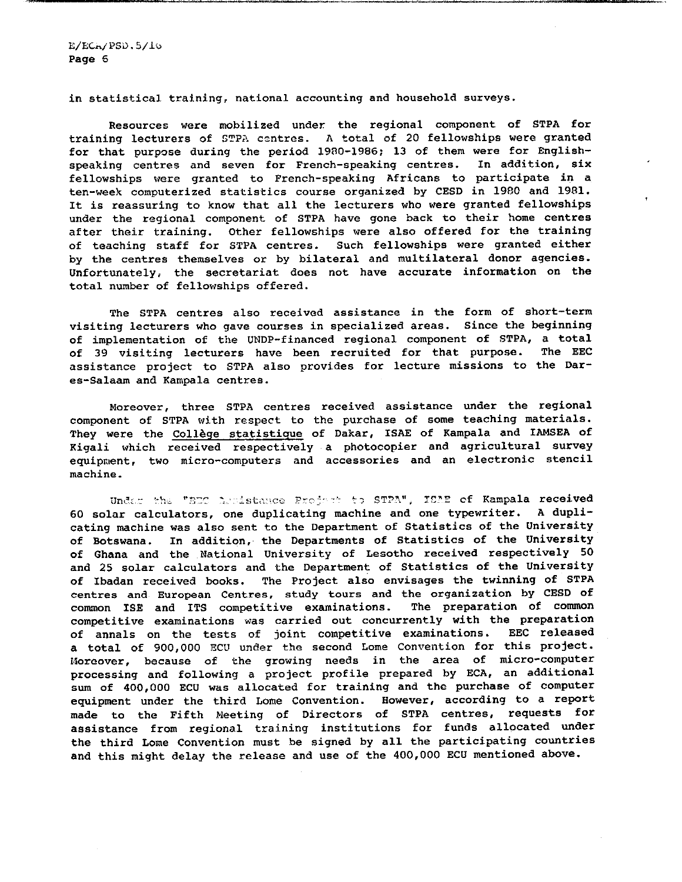E/ECH/PSD.5/IO Page 6

in statistical training, national accounting and household surveys.

Resources were mobilized under the regional component of STPA for training lecturers of STPA centres. A total of 20 fellowships were granted for that purpose during the period 1980-1986; 13 of them were for Englishspeaking centres and seven for French-speaking centres. In addition, six fellowships were granted to French-speaking Africans to participate in ten-week computerized statistics course organized by CESD in 1980 and 1981. It is reassuring to know that all the lecturers who were granted fellowships under the regional component of STPA have gone back to their home centres after their training. Other fellowships were also offered for the training of teaching staff for STPA centres. Such fellowships were granted either by the centres themselves or by bilateral and multilateral donor agencies. Unfortunately, the secretariat does not have accurate information on the total number of fellowships offered.

The STPA centres also received assistance in the form of short-term visiting lecturers who gave courses in specialized areas. Since the beginning of implementation of the UNDP-financed regional component of STPA, a total of 39 visiting lecturers have been recruited for that purpose. The EEC assistance project to STPA also provides for lecture missions to the Dar es-Salaam and Kampala centres.

Moreover, three STPA centres received assistance under the regional component of STPA with respect to the purchase of some teaching materials. They were the Collège statistique of Dakar, ISAE of Kampala and IAMSEA of Kigali which received respectively a photocopier and agricultural survey equipment, two micro-computers and accessories and an electronic stencil machine.

Under the "BEC Armistance Project to STPA", ISAE of Kampala received 60 solar calculators, one duplicating machine and one typewriter. A duplicating machine was also sent to the Department of Statistics of the University of Botswana. In addition, the Departments of Statistics of the University of Ghana and the National University of Lesotho received respectively 50 and 25 solar calculators and the Department of Statistics of the University of Ibadan received books. The Project also envisages the twinning of STPA centres and European Centres, study tours and the organization by CESD of common ISE and ITS competitive examinations. The preparation of common competitive examinations was carried out concurrently with the preparation of annals on the tests of joint competitive examinations. EEC released total of 900,000 ECU under the second Lome Convention for this project. Moreover, because of the growing needs in the area of micro-computer processing and following a project profile prepared by ECA, an additional sum of 400,000 ECU was allocated for training and the purchase of computer equipment under the third Lome Convention. However, according to a report made to the Fifth Meeting of Directors of STPA centres, requests for assistance from regional training institutions for funds allocated under the third Lome Convention must be signed by all the participating countries and this might delay the release and use of the 400,000 ECU mentioned above.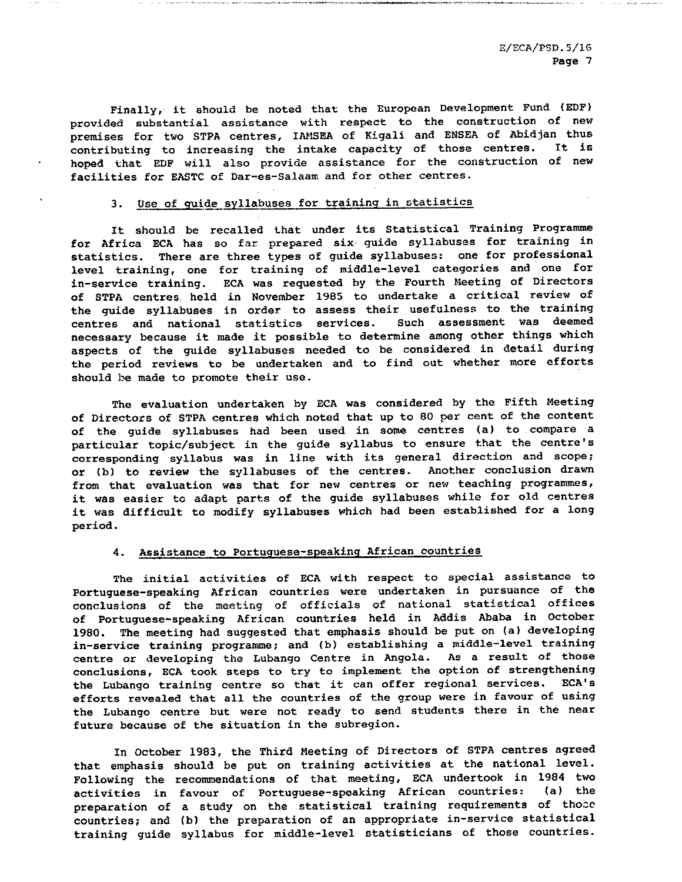Finally, it should be noted that the European Development Fund (EDF) provided substantial assistance with respect to the construction of new premises for two STPA centres, IAMSEA of Kigali and ENSEA of Abidjan thus contributing to increasing the intake capacity of those centres. It is hoped that EDF will also provide assistance for the construction of new facilities for EASTC of Dar-es-Salaam and for other centres.

# 3. Use of guide syllabuses for training in statistics

It should be recalled that under its Statistical Training Programme for Africa ECA has so far prepared six guide syllabuses for training in statistics. There are three types of guide syllabuses: one for professional level training, one for training of middle-level categories and one for in-service training. ECA was requested by the Fourth Meeting of Directors of STPA centres held in November 1985 to undertake a critical review of the guide syllabuses in order to assess their usefulness to the training centres and national statistics services. Such assessment was deemed necessary because it made it possible to determine among other things which aspects of the guide syllabuses needed to be considered in detail during the period reviews to be undertaken and to find out whether more efforts should be made to promote their use.

The evaluation undertaken by ECA was considered by the Fifth Meeting of Directors of STPA centres which noted that up to 80 per cent of the content of the guide syllabuses had been used in some centres (a) to compare a particular topic/subject in the guide syllabus to ensure that the centre's corresponding syllabus was in line with its general direction and scope; or (b) to review the syllabuses of the centres. Another conclusion drawn from that evaluation was that for new centres or new teaching programmes, it was easier to adapt parts of the guide syllabuses while for old centres it was difficult to modify syllabuses which had been established for a long period.

## 4. Assistance to Portuguese-speaking African countries

The initial activities of ECA with respect to special assistance to Portuguese-speaking African countries were undertaken in pursuance of the conclusions of the meeting of officials of national statistical offices of Portuguese-speaking African countries held in Addis Ababa in October 1980. The meeting had suggested that emphasis should be put on (a) developing in-service training programme; and (b) establishing a middle-level training centre or developing the Lubango Centre in Angola. As a result of those conclusions, ECA took steps to try to implement the option of strengthening the Lubango training centre so that it can offer regional services. ECA's efforts revealed that all the countries of the group were in favour of using the Lubango centre but were not ready to send students there in the near future because of the situation in the subregion.

In October 1983, the Third Meeting of Directors of STPA centres agreed that emphasis should be put on training activities at the national level. Following the recommendations of that meeting, ECA undertook in 1984 two activities in favour of Portuguese-speaking African countries: {a) the preparation of a study on the statistical training requirements of thoce countries; and (b) the preparation of an appropriate in-service statistical training guide syllabus for middle-level statisticians of those countries.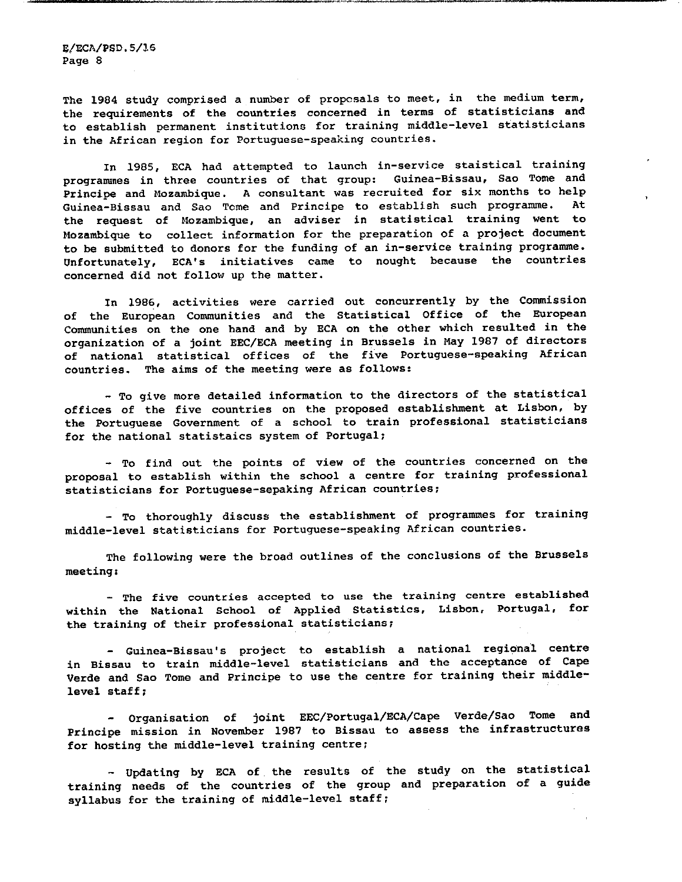The 1984 study comprised a number of proposals to meet, in the medium term, the requirements of the countries concerned in terms of statisticians and to establish permanent institutions for training middle-level statisticians in the African region for Portuguese-speaking countries.

In 1985, ECA had attempted to launch in-service staistical training programmes in three countries of that group: Guinea-Bissau, Sao Tome and Principe and Mozambique. A consultant was recruited for six months to help Guinea-Bissau and Sao Tcme and Principe to establish such programme. At the request of Mozambique, an adviser in statistical training went to Mozambique to collect information for the preparation of a project document to be submitted to donors for the funding of an in-service training programme. Unfortunately, ECA•s initiatives came to nought because the countries concerned did not follow up the matter.

In 1986, activities were carried out concurrently by the Commission of the European Communities and the Statistical Office of the European Communities on the one hand and by ECA on the other which resulted in the organization of a joint EEC/ECA meeting in Brussels in May 1987 of directors of national statistical offices of the five Portuguese-speaking African countries. The aims of the meeting were as follows:

- To give more detailed information to the directors of the statistical offices of the five countries on the proposed establishment at Lisbon, by the Portuguese Government of a school to train professional statisticians for the national statistaics system of Portugal;

- To find out the points of view of the countries concerned on the proposal to establish within the school a centre for training professional statisticians for Portuguese-sepaking African countries;

- To thoroughly discuss the establishment of programmes for training middle-level statisticians for Portuguese-speaking African countries.

The following were the broad outlines of the conclusions of the Brussels meeting:

- The five countries accepted to use the training centre established within the National School of Applied Statistics, Lisbon, Portugal, for the training of their professional statisticians;

- Guinea-Bissau's project to establish a national regional centre in Bissau to train middle-level statisticians and the acceptance of Cape Verde and Sao Tome and Principe to use the centre for training their middlelevel staff;

- Organisation of joint EEC/Portugal/ECA/Cape Verde/Sao Tome and Principe mission in November 1987 to Bissau to assess the infrastructures for hosting the middle-level training centre;

- Updating by ECA of the results of the study on the statistical training needs of the countries of the group and preparation of a guide syllabus for the training of middle-level staff;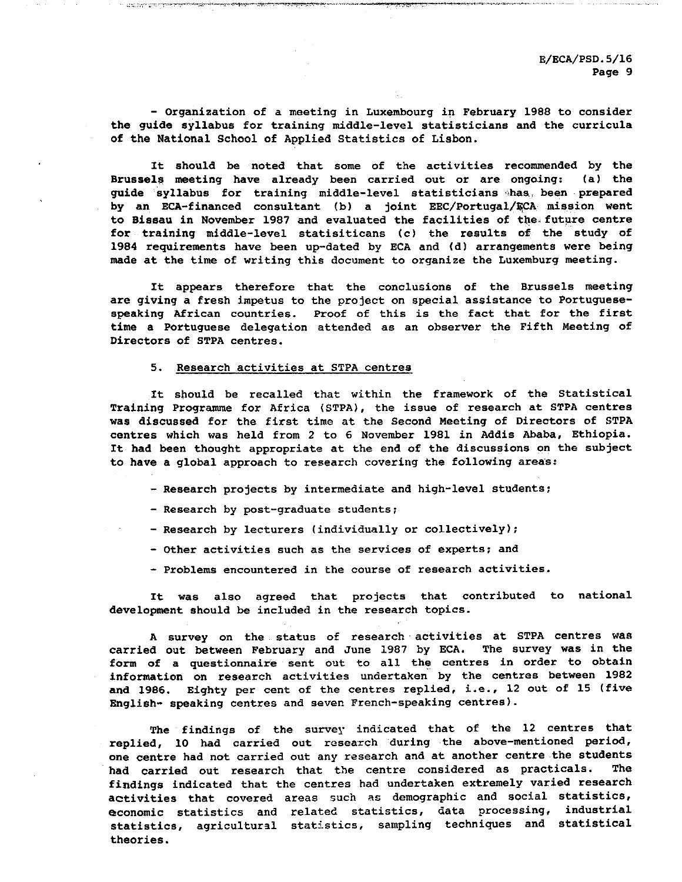- Organization of a meeting in Luxembourg in February 1988 to consider the guide syllabus for training middle-level statisticians and the curricula of the National School of Applied Statistics of Lisbon.

It should be noted that some of the activities recommended by the Brussels meeting have already been carried out or are ongoing: (a) the guide syllabus for training middle-level statisticians has, been prepared by an ECA-financed consultant (b) a joint EEC/Portugal/ECA mission went to Bissau in November 1987 and evaluated the facilities of the future centre for training middle-level statisiticans (c) the results of the study of 1984 requirements have been up-dated by ECA and (d) arrangements were being made at the time of writing this document to organize the Luxemburg meeting.

It appears therefore that the conclusions of the Brussels meeting are giving a fresh impetus to the project on special assistance to Portuguesespeaking African countries. Proof of this is the fact that for the first time a Portuguese delegation attended as an observer the Fifth Meeting of Directors of STPA centres.

#### 5. Research activities at STPA centres

 $\mathcal{L}^{\alpha}_{\alpha}$  ,  $\mathcal{L}^{\alpha}_{\alpha}$  , and  $\mathcal{L}^{\alpha}_{\alpha}$  are the contribution of the contribution of  $\mathcal{L}^{\alpha}_{\alpha}$ 

It should be recalled that within the framework of the Statistical Training Programme for Africa (STPA), the issue of research at STPA centres was discussed for the first time at the Second Meeting of Directors of STPA centres which was held from 2 to 6 November 1981 in Addis Ababa, Ethiopia. It had been thought appropriate at the end of the discussions on the subject to have a global approach to research covering the following areas:

- Research projects by intermediate and high-level students;
- Research by post-graduate students;
- Research by lecturers (individually or collectively);
- Other activities such as the services of experts; and
- Problems encountered in the course of research activities.

It was also agreed that projects that contributed to national development should be included in the research topics.

survey on the status of research activities at STPA centres was carried out between February and June 1987 by ECA. The survey was in the form of a questionnaire sent out to all the centres in order to obtain information on research activities undertaken by the centres between 1982 and 1986. Eighty per cent of the centres replied, i.e., 12 out of 15 (five English- speaking centres and seven French-speaking centres).

The findings of the survey indicated that of the 12 centres that replied, 10 had carried out research during the above-mentioned period, one centre had not carried out any research and at another centre the students had carried out research that the centre considered as practicals. The findings indicated that the centres had undertaken extremely varied research activities that covered areas such as demographic and social statistics, economic statistics and related statistics, data processing, industrial statistics, agricultural statistics, sampling techniques and statistical theories.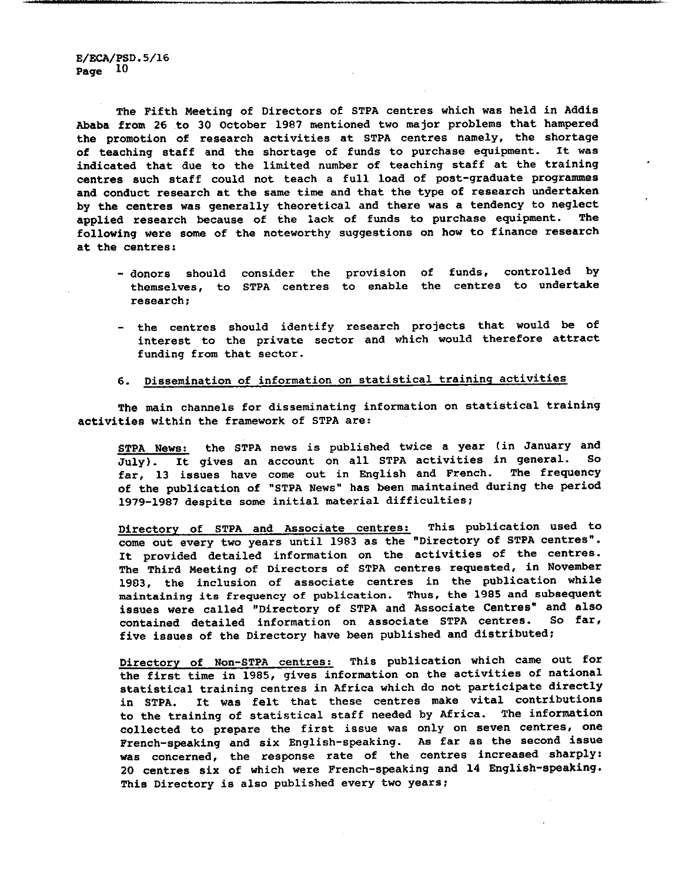The Fifth Meeting of Directors of STPA centres which was held in Addis Ababa from 26 to 30 October 1987 mentioned two major problems that hampered the promotion of research activities at STPA centres namely, the shortage of teaching staff and the shortage of funds to purchase equipment. It was indicated that due to the limited number of teaching staff at the training centres such staff could not teach a full load of post-graduate programmes and conduct research at the same time and that the type of research undertaken by the centres was generally theoretical and there was a tendency to neglect applied research because of the lack of funds to purchase equipment. The following were some of the noteworthy suggestions on how to finance research at the centres:

- donors should consider the provision of funds, controlled by themselves, to STPA centres to enable the centres to undertake research;
- the centres should identify research projects that would be of interest to the private sector and which would therefore attract funding from that sector.

# 6. Dissemination of information on statistical training activities

The main channels for disseminating information on statistical training activities within the framework of STPA are:

STPA News: the STPA news is published twice a year (in January and July). It gives an account on all STPA activities in general. So far, 13 issues have come out in English and French. The frequency of the publication of "STPA News" has been maintained during the period 1979-1987 despite some initial material difficulties;

Directory of STPA and Associate centres; This publication used to come out every two years until 1983 as the "Directory of STPA centres". It provided detailed information on the activities of the centres. The Third Meeting of Directors of STPA centres requested, in November 1903, the inclusion of associate centres in the publication while maintaining its frequency of publication. Thus, the 1985 and subsequent issues were called "Directory of STPA and Associate Centres" and also contained detailed information on associate STPA centres. So far, five issues of the Directory have been published and distributed;

Directory of Non-STPA centres; This publication which came out for the first time in 1985, gives information on the activities of national statistical training centres in Africa which do not participate directly in STPA. It was felt that these centres make vital contributions to the training of statistical staff needed by Africa. The information collected to prepare the first issue was only on seven centres, one French-speaking and six English-speaking. As far as the second issue was concerned, the response rate of the centres increased sharply: 20 centres six of which were French-speaking and 14 English-speaking. This Directory is also published every two years;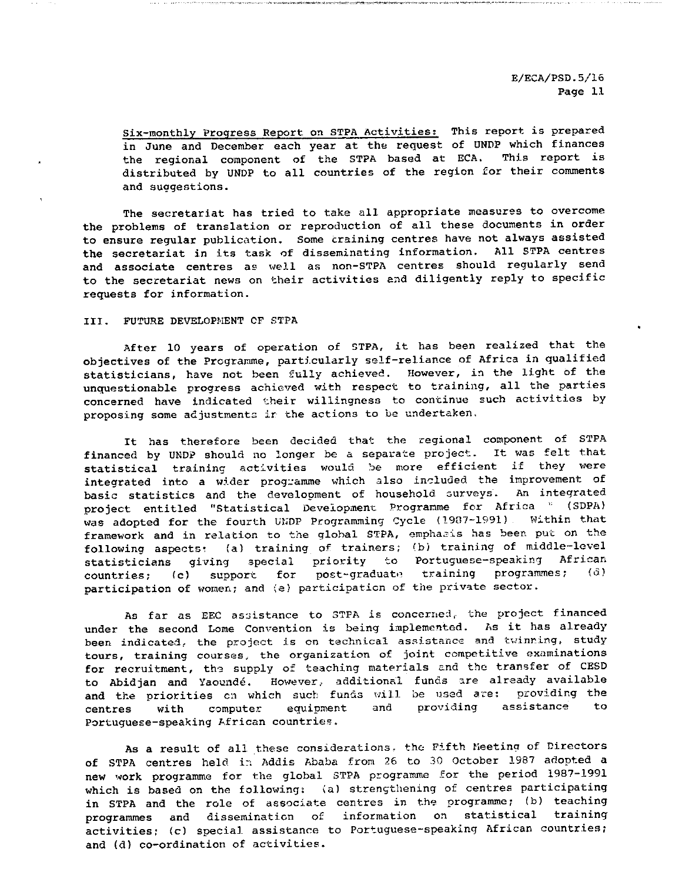Six-monthly Progress Report on STPA Activities; This report is prepared in June and December each year at the request of UNDP which finances the regional component of the STPA based at ECA. This report is distributed by UNDP to all countries of the region for their comments and suggestions.

The secretariat has tried to take all appropriate measures to overcome the problems of translation or reproduction of all these documents in order to ensure regular publication. Some craining centres have not always assisted the secretariat in its task of disseminating information. All STPA centres and associate centres as well as non-STPA centres should regularly send to the secretariat news on their activities and diligently reply to specific requests for information.

III. FUTURE DEVELOPMENT OF STPA

After 10 years of operation of STPA, it has been realized that the objectives of the Programme, particularly self-reliance of Africa in qualified statisticians, have not been fully achieved. However, in the light of the unquestionable progress achieved with respect to training, all the parties concerned have indicated their willingness to continue such activities by proposing some adjustments ir the actions to be undertaken.

It has therefore been decided that the regional component of STPA financed by UNDP should no longer be separate project. It was felt that statistical training activities would, be more efficient if they were integrated into a wider programme which also included the improvement of basic statistics and the development of household surveys. An integrated project entitled "Statistical Development Programme for Africa \* (SDPA) was adopted for the fourth UNDP Programming Cycle (1987-1991). Within that framework and in relation to the global STPA, emphasis has been put on the following aspects: (a) training of trainers; (b) training of middle-level statisticians giving special priority to Portuguese-speaking African countries; (c) support for post-graduate training programmes; (d) participation of women; and (e) participation of the private sector.

As far as EEC assistance to STPA is concerned, the project financed under the second Lome Convention is being implemented. As it has already been indicated, the project is on technical assistance and twinning, study tours, training courses, the organization of joint competitive examinations for recruitment, the supply of teaching materials and the transfer of CESD to Abidjan and Yaounde. However, additional funds are already available and the priorities en which such funds will be used are; providing the centres with computer equipment and providing assistance to Portuguese-speaking African countries.

As a result of all these considerations, the Fifth Meeting of Directors of STPA centres held in Addis Ababa from 26 to 30 October 1987 adopted new work programme for the global STPA programme for the period 1987-1991 which is based on the following: {a) strengthening of centres participating in STPA and the role of associate centres in the programme; (b) teaching programmes and dissemination of information on statistical training activities; (c) special assistance to Portuguese-speaking African countries; and (d) co-ordination of activities.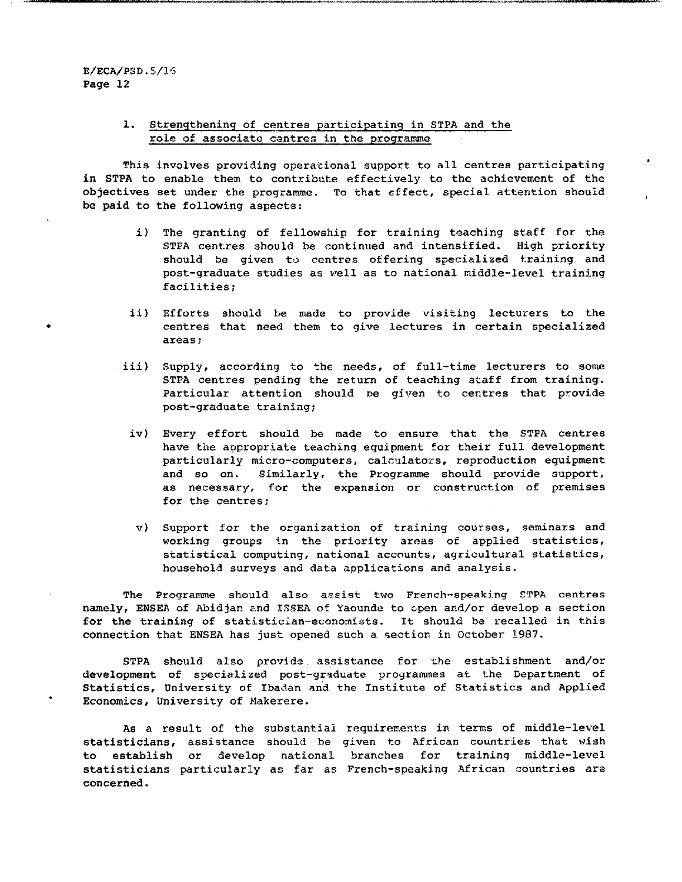## 1. Strengthening of centres participating in STPA and the role of associate centres in the programme

This involves providing operational support to all centres participating in STPA to enable them to contribute effectively to the achievement of the objectives set under the programme. To that effect, special attention should be paid to the following aspects:

- i) The granting of fellowship for training teaching staff for the STPA centres should be continued and intensified. High priority should be given to centres offering specialized training and post-graduate studies as veil as to national middle-level training facilities;
- ii) Efforts should be made to provide visiting lecturers to the centres that need them to give lectures in certain specialized areas;
- iii) Supply, according to the needs, of full-time lecturers to some STPA centres pending the return of teaching staff from training. Particular attention should De given to centres that provide post-graduate training;
	- iv) Every effort should be made to ensure that the STPA centres have the appropriate teaching equipment for their full development particularly micro-computers, calculators, reproduction equipment and so on. Similarly, the Programme should provide support, as necessary, for the expansion or construction of premises for the centres;
	- v) Support for the organization of training courses, seminars and working groups in the priority areas of applied statistics, statistical computing, national accounts, agricultural statistics, household surveys and data applications and analysis.

The Programme should also assist two French-speaking CTPA centres namely, ENSEA of Abidjan and ISSEA of Yaounde to open and/or develop a section for the training of statistician-economists. It should be recalled in this connection that ENSEA has just opened such a section in October 1987.

STPA should also provide assistance for the establishment and/or development of specialized post-graduate programmes at the Department of Statistics, University of Ibadan and the Institute of Statistics and Applied Economics, University of Makerere.

As a result of the substantial requirements in terms of middle-level statisticians, assistance should be given to African countries that wish to establish or develop national branches for training middle-level statisticians particularly as far as French-speaking African countries are concerned.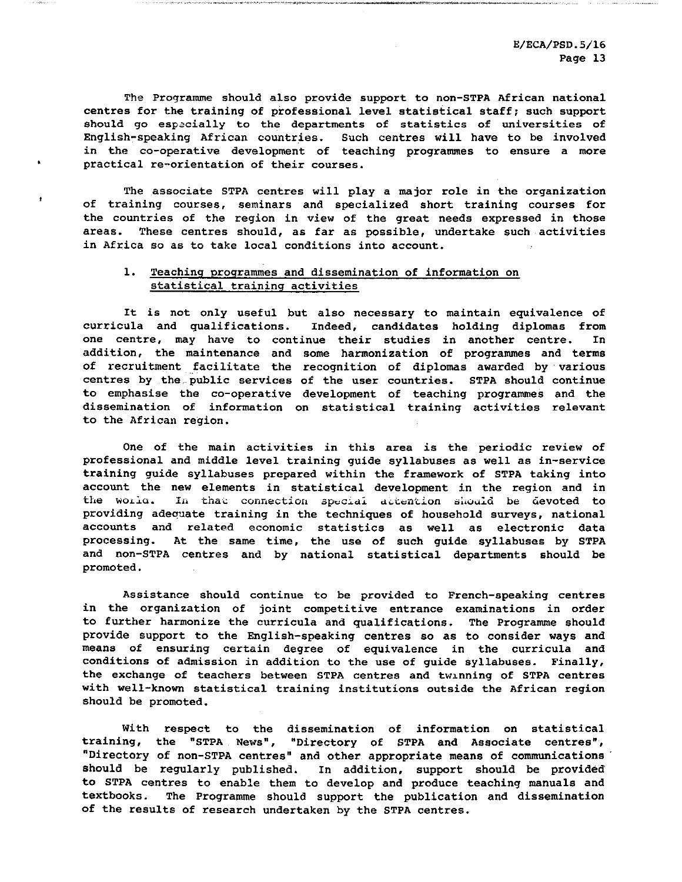The Programme should also provide support to non-STPA African national centres for the training of professional level statistical staff; such support should go especially to the departments of statistics of universities of English-speaking African countries. Such centres will have to be involved in the co-operative development of teaching programmes to ensure a more practical re-orientation of their courses.

The associate STPA centres will play a major role in the organization of training courses, seminars and specialized short training courses for the countries of the region in view of the great needs expressed in those areas. These centres should, as far as possible, undertake such activities in Africa so as to take local conditions into account.

## 1. Teaching programmes and dissemination of information on statistical training activities

 $\pmb{\ddot{x}}$ 

It is not only useful but also necessary to maintain equivalence of curricula and qualifications. Indeed, candidates holding diplomas from one centre, may have to continue their studies in another centre. In addition, the maintenance and some harmonization of programmes and terms of recruitment facilitate the recognition of diplomas awarded by various centres by the, public services of the user countries. STPA should continue to emphasise the co-operative development of teaching programmes and the dissemination of information on statistical training activities relevant to the African region.

One of the main activities in this area is the periodic review of professional and middle level training guide syllabuses as well as in-service training guide syllabuses prepared within the framework of STPA taking into account the new elements in statistical development in the region and in the world. In that connection special detention should be devoted to providing adequate training in the techniques of household surveys, national accounts and related economic statistics as well as electronic data processing. At the same time, the use of such guide syllabuses by STPA and non-STPA centres and by national statistical departments should be promoted.

Assistance should continue to be provided to French-speaking centres in the organization of joint competitive entrance examinations in order to further harmonize the curricula and qualifications. The Programme should provide support to the English-speaking centres so as to consider ways and means of ensuring certain degree of equivalence in the curricula and conditions of admission in addition to the use of guide syllabuses. Finally, the exchange of teachers between STPA centres and twinning of STPA centres with well-known statistical training institutions outside the African region should be promoted.

With respect to the dissemination of information on statistical training, the "STPA News", "Directory of STPA and Associate centres", "Directory of non-STPA centres" and other appropriate means of communications should be regularly published. In addition, support should be provided to STPA centres to enable them to develop and produce teaching manuals and textbooks. The Programme should support the publication and dissemination of the results of research undertaken by the STPA centres.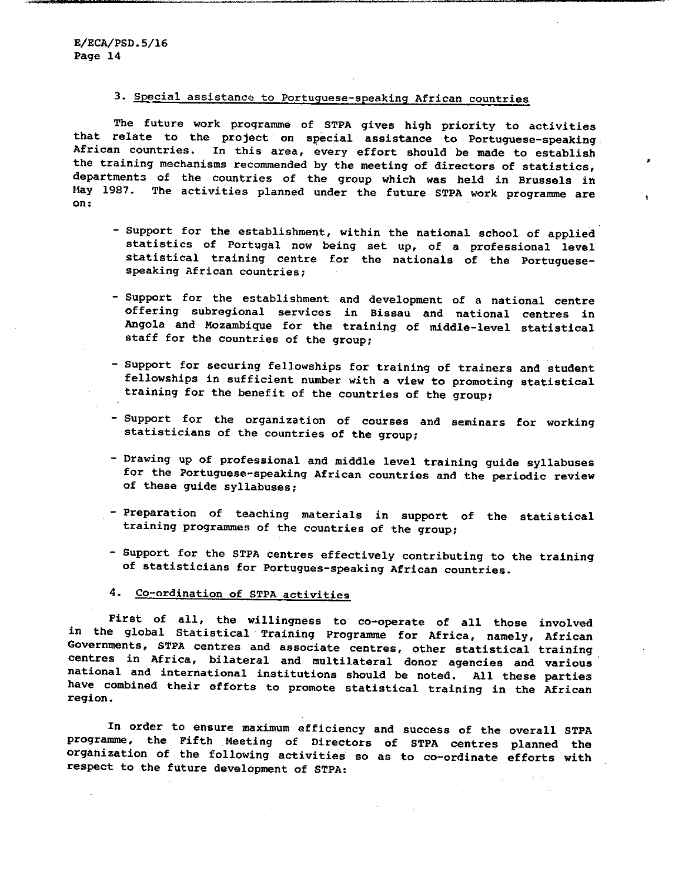# 3. Special assistance to Portuguese-speaking African countries

The future work programme of STPA gives high priority to activities that relate to the project on special assistance to Portuguese-speaking African countries. In this area, every effort should be made to establish the training mechanisms recommended by the meeting of directors of statistics, departments of the countries of the group which was held in Brussels in May 1987. The activities planned under the future STPA work programme are on:

- Support for the establishment, within the national school of applied statistics of Portugal now being set up, of a professional level statistical training centre for the nationals of the Portuguesespeaking African countries;

 $\bullet$ 

- Support for the establishment and development of a national centre offering subregional services in Bissau and national centres in Angola and Mozambique for the training of middle-level statistical staff for the countries of the group;
- Support for securing fellowships for training of trainers and student fellowships in sufficient number with a view to promoting statistical training for the benefit of the countries of the group;
- Support for the organization of courses and seminars for working statisticians of the countries of the group;
- Drawing up of professional and middle level training guide syllabuses for the Portuguese-speaking African countries and the periodic review of these guide syllabuses;
- Preparation of teaching materials in support of the statistical training programmes of the countries of the group;
- Support for the STPA centres effectively contributing to the training of statisticians for Portugues-speaking African countries.
- 4. Co-ordination of STPA activities

First of all, the willingness to co-operate of all those involved in the global Statistical Training Programme for Africa, namely, African Governments, STPA centres and associate centres, other statistical training centres in Africa, bilateral and multilateral donor agencies and various national and international institutions should be noted. All these parties have combined their efforts to promote statistical training in the African region.

In order to ensure maximum efficiency and success of the overall STPA programme, the Fifth Meeting of Directors of STPA centres planned the organization of the following activities so as to co-ordinate efforts with respect to the future development of STPA: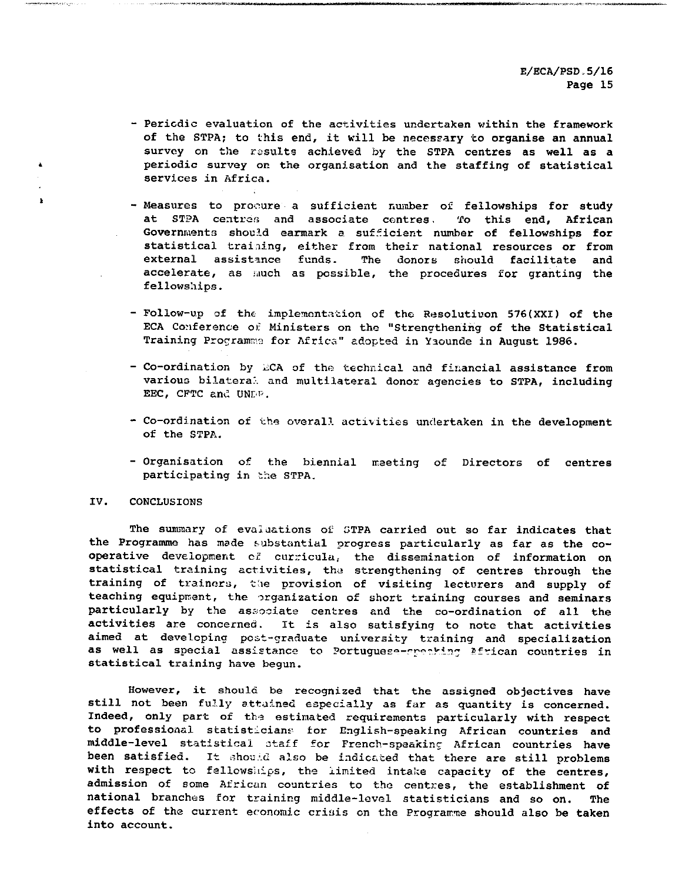- Pericdic evaluation of the activities undertaken within the framework of the STPA; to this end, it will be necessary to organise an annual survey on the results achieved by the STPA centres as well as a periodic survey on the organisation and the staffing of statistical services in Africa.
- Measures to procure a sufficient number of fellowships for study at STPA centres and associate centres. To this end, African Governments should earmark a sufficient number of fellowships for statistical training, either from their national resources or from external assistance funds. The donors should facilitate and accelerate, as iauch as possible, the procedures for granting the fellowships.
- Follow-up of the implementation of the Resolutiuon 576(XXI) of the ECA Conference of Ministers on the "Strengthening of the Statistical Training Programs for Africa" adopted in Yaounde in August 1986.
- Co-ordination by ECA of the technical and financial assistance from various bilateral and multilateral donor agencies to STPA, including EEC, CFTC and UNDF.
- Co-ordination of the overall activities undertaken in the development of the STPA.
- Organisation of the biennial meeting of Directors of centres participating in the STPA.

#### IV. CONCLUSIONS

 $\ddot{\bullet}$ 

 $\mathbf{r}$ 

The summary of evaluations of STPA carried out so far indicates that the Programme has made substantial progress particularly as far as the co operative development of curricula, the dissemination of information on statistical training activities, the strengthening of centres through the training of trainers, the provision of visiting lecturers and supply of teaching equipment, the organization of short training courses and seminars particularly by the associate centres and the co-ordination of all the activities are concerned. It is also satisfying to note that activities aimed at developing post-graduate university training and specialization as well as special assistance to Portuguese-rreaking African countries in statistical training have begun.

However, it should be recognized that the assigned objectives have still not been fully attained especially as far as quantity is concerned. Indeed, only part of the estimated requirements particularly with respect to professional statisticians- for English-speaking African countries and middle-level statistical staff for French-speaking African countries have been satisfied. It should also be indicated that there are still problems with respect to fellowships, the limited intake capacity of the centres, admission of some African countries to the centres, the establishment of national branches for training middle-levol statisticians and so on. The effects of the current economic criais en the Programme should also be taken into account.